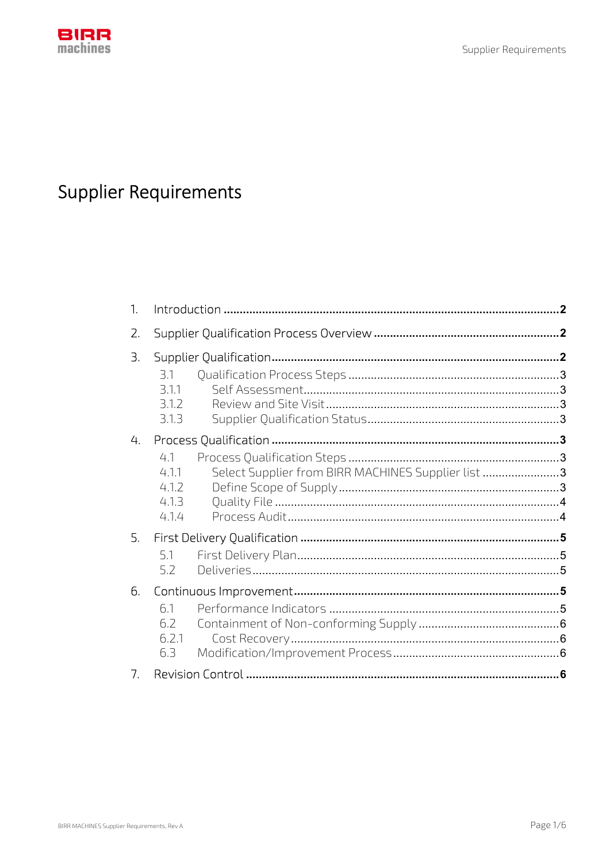

# **Supplier Requirements**

| 1. |                                                                                              | $\cdot$ 2 |
|----|----------------------------------------------------------------------------------------------|-----------|
| 2. |                                                                                              |           |
| З. | 3.1<br>3.1.1<br>3.1.2<br>3.1.3                                                               |           |
| 4. | 4.1<br>Select Supplier from BIRR MACHINES Supplier list 3<br>4.11<br>4.1.2<br>4.1.3<br>4.1.4 |           |
| 5. | 5.1<br>5.2                                                                                   |           |
| 6. | 6.1<br>6.2<br>6.2.1<br>6.3                                                                   |           |
| 7. |                                                                                              |           |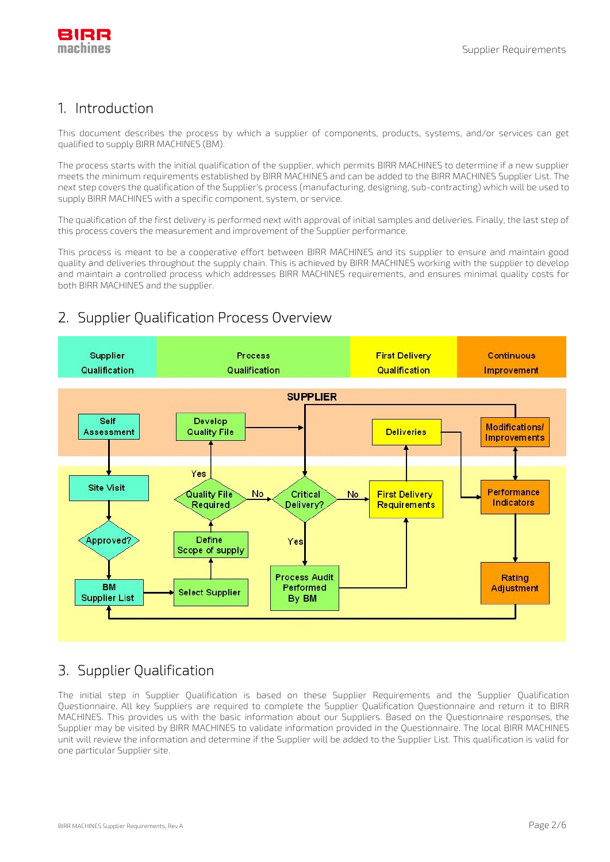

# 1. Introduction

This document describes the process by which a supplier of components, products, systems, and/or services can get qualified to supply BIRR MACHINES (BM).

The process starts with the initial qualification of the supplier, which permits BIRR MACHINES to determine if a new supplier meets the minimum requirements established by BIRR MACHINES and can be added to the BIRR MACHINES Supplier List. The next step covers the qualification of the Supplier's process (manufacturing, designing, sub-contracting) which will be used to supply BIRR MACHINES with a specific component, system, or service.

The qualification of the first delivery is performed next with approval of initial samples and deliveries. Finally, the last step of this process covers the measurement and improvement of the Supplier performance.

This process is meant to be a cooperative effort between BIRR MACHINES and its supplier to ensure and maintain good quality and deliveries throughout the supply chain. This is achieved by BIRR MACHINES working with the supplier to develop and maintain a controlled process which addresses BIRR MACHINES requirements, and ensures minimal quality costs for both BIRR MACHINES and the supplier.

#### **First Delivery** Continuous Supplier **Process** Qualification Qualification Qualification Improvement **SUPPLIER Develop** Self **Modifications/ Quality File Deliveries** Assessment **Improvements** Yes **Site Visit** Performance **First Delivery** Quality File No Critical No Indicators Delivery Required Requirements Define Approved? Yes Scope of supply **Process Audit** Rating **BM** Performed Adjustment **Select Supplier Supplier List** By BM

# 2. Supplier Qualification Process Overview

# 3. Supplier Qualification

The initial step in Supplier Qualification is based on these Supplier Requirements and the Supplier Qualification Questionnaire. All key Suppliers are required to complete the Supplier Qualification Questionnaire and return it to BIRR MACHINES. This provides us with the basic information about our Suppliers. Based on the Questionnaire responses, the Supplier may be visited by BIRR MACHINES to validate information provided in the Questionnaire. The local BIRR MACHINES unit will review the information and determine if the Supplier will be added to the Supplier List. This qualification is valid for one particular Supplier site.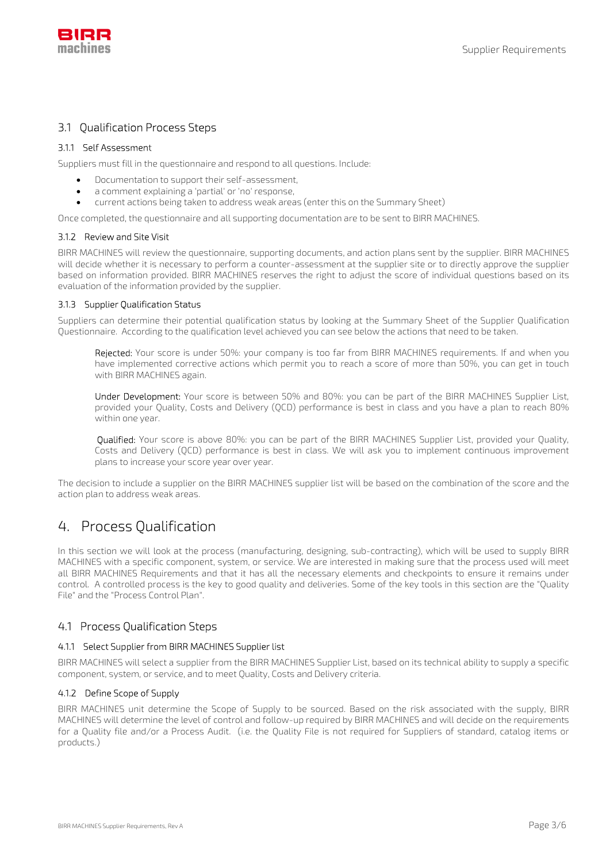

### 3.1 Qualification Process Steps

#### 3.1.1 Self Assessment

Suppliers must fill in the questionnaire and respond to all questions. Include:

- Documentation to support their self-assessment,
- a comment explaining a 'partial' or 'no' response,
- current actions being taken to address weak areas (enter this on the Summary Sheet)

Once completed, the questionnaire and all supporting documentation are to be sent to BIRR MACHINES.

#### 3.1.2 Review and Site Visit

BIRR MACHINES will review the questionnaire, supporting documents, and action plans sent by the supplier. BIRR MACHINES will decide whether it is necessary to perform a counter-assessment at the supplier site or to directly approve the supplier based on information provided. BIRR MACHINES reserves the right to adjust the score of individual questions based on its evaluation of the information provided by the supplier.

#### 3.1.3 Supplier Qualification Status

Suppliers can determine their potential qualification status by looking at the Summary Sheet of the Supplier Qualification Questionnaire. According to the qualification level achieved you can see below the actions that need to be taken.

Rejected: Your score is under 50%: your company is too far from BIRR MACHINES requirements. If and when you have implemented corrective actions which permit you to reach a score of more than 50%, you can get in touch with BIRR MACHINES again.

Under Development: Your score is between 50% and 80%: you can be part of the BIRR MACHINES Supplier List, provided your Quality, Costs and Delivery (QCD) performance is best in class and you have a plan to reach 80% within one year.

Qualified: Your score is above 80%: you can be part of the BIRR MACHINES Supplier List, provided your Quality, Costs and Delivery (QCD) performance is best in class. We will ask you to implement continuous improvement plans to increase your score year over year.

The decision to include a supplier on the BIRR MACHINES supplier list will be based on the combination of the score and the action plan to address weak areas.

# 4. Process Qualification

In this section we will look at the process (manufacturing, designing, sub-contracting), which will be used to supply BIRR MACHINES with a specific component, system, or service. We are interested in making sure that the process used will meet all BIRR MACHINES Requirements and that it has all the necessary elements and checkpoints to ensure it remains under control. A controlled process is the key to good quality and deliveries. Some of the key tools in this section are the "Quality File" and the "Process Control Plan".

### 4.1 Process Qualification Steps

#### 4.1.1 Select Supplier from BIRR MACHINES Supplier list

BIRR MACHINES will select a supplier from the BIRR MACHINES Supplier List, based on its technical ability to supply a specific component, system, or service, and to meet Quality, Costs and Delivery criteria.

#### 4.1.2 Define Scope of Supply

BIRR MACHINES unit determine the Scope of Supply to be sourced. Based on the risk associated with the supply, BIRR MACHINES will determine the level of control and follow-up required by BIRR MACHINES and will decide on the requirements for a Quality file and/or a Process Audit. (i.e. the Quality File is not required for Suppliers of standard, catalog items or products.)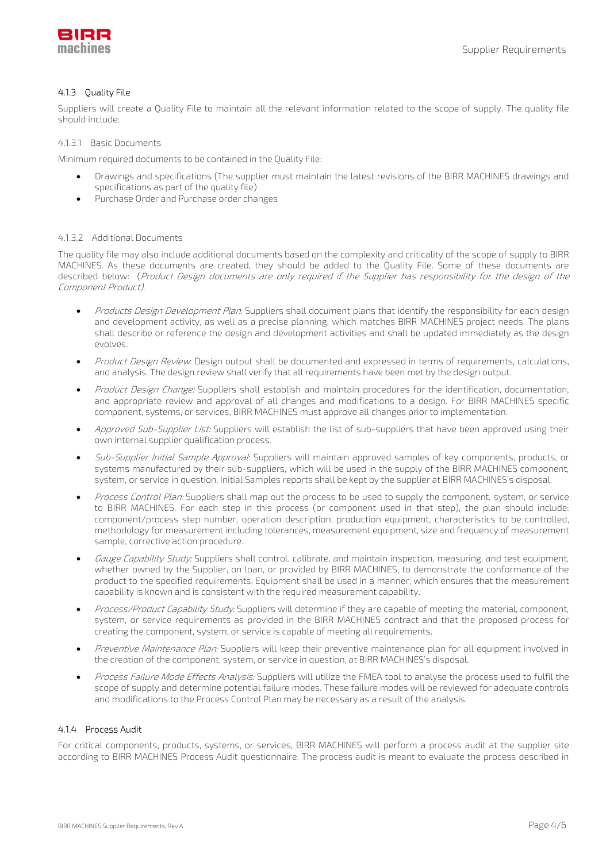

#### 4.1.3 Quality File

Suppliers will create a Quality File to maintain all the relevant information related to the scope of supply. The quality file should include:

4.1.3.1 Basic Documents

Minimum required documents to be contained in the Quality File:

- Drawings and specifications (The supplier must maintain the latest revisions of the BIRR MACHINES drawings and specifications as part of the quality file)
- Purchase Order and Purchase order changes

#### 4.1.3.2 Additional Documents

The quality file may also include additional documents based on the complexity and criticality of the scope of supply to BIRR MACHINES. As these documents are created, they should be added to the Quality File. Some of these documents are described below: (Product Design documents are only required if the Supplier has responsibility for the design of the Component Product).

- Products Design Development Plan: Suppliers shall document plans that identify the responsibility for each design and development activity, as well as a precise planning, which matches BIRR MACHINES project needs. The plans shall describe or reference the design and development activities and shall be updated immediately as the design evolves.
- Product Design Review: Design output shall be documented and expressed in terms of requirements, calculations, and analysis. The design review shall verify that all requirements have been met by the design output.
- Product Design Change: Suppliers shall establish and maintain procedures for the identification, documentation, and appropriate review and approval of all changes and modifications to a design. For BIRR MACHINES specific component, systems, or services, BIRR MACHINES must approve all changes prior to implementation.
- Approved Sub-Supplier List: Suppliers will establish the list of sub-suppliers that have been approved using their own internal supplier qualification process.
- Sub-Supplier Initial Sample Approval: Suppliers will maintain approved samples of key components, products, or systems manufactured by their sub-suppliers, which will be used in the supply of the BIRR MACHINES component, system, or service in question. Initial Samples reports shall be kept by the supplier at BIRR MACHINES's disposal.
- Process Control Plan: Suppliers shall map out the process to be used to supply the component, system, or service to BIRR MACHINES. For each step in this process (or component used in that step), the plan should include: component/process step number, operation description, production equipment, characteristics to be controlled, methodology for measurement including tolerances, measurement equipment, size and frequency of measurement sample, corrective action procedure.
- Gauge Capability Study: Suppliers shall control, calibrate, and maintain inspection, measuring, and test equipment, whether owned by the Supplier, on loan, or provided by BIRR MACHINES, to demonstrate the conformance of the product to the specified requirements. Equipment shall be used in a manner, which ensures that the measurement capability is known and is consistent with the required measurement capability.
- Process/Product Capability Study: Suppliers will determine if they are capable of meeting the material, component, system, or service requirements as provided in the BIRR MACHINES contract and that the proposed process for creating the component, system, or service is capable of meeting all requirements.
- Preventive Maintenance Plan: Suppliers will keep their preventive maintenance plan for all equipment involved in the creation of the component, system, or service in question, at BIRR MACHINES's disposal.
- Process Failure Mode Effects Analysis: Suppliers will utilize the FMEA tool to analyse the process used to fulfil the scope of supply and determine potential failure modes. These failure modes will be reviewed for adequate controls and modifications to the Process Control Plan may be necessary as a result of the analysis.

#### 4.1.4 Process Audit

For critical components, products, systems, or services, BIRR MACHINES will perform a process audit at the supplier site according to BIRR MACHINES Process Audit questionnaire. The process audit is meant to evaluate the process described in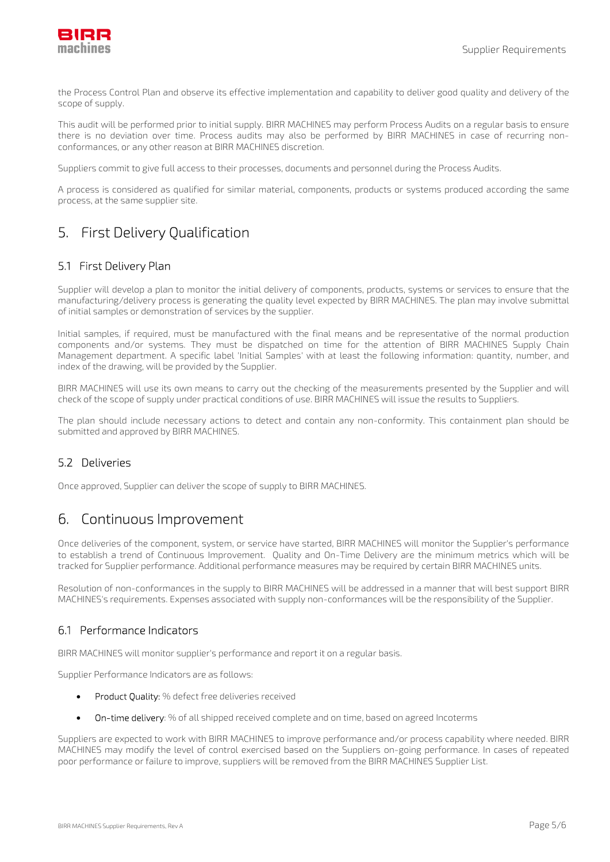

the Process Control Plan and observe its effective implementation and capability to deliver good quality and delivery of the scope of supply.

This audit will be performed prior to initial supply. BIRR MACHINES may perform Process Audits on a regular basis to ensure there is no deviation over time. Process audits may also be performed by BIRR MACHINES in case of recurring nonconformances, or any other reason at BIRR MACHINES discretion.

Suppliers commit to give full access to their processes, documents and personnel during the Process Audits.

A process is considered as qualified for similar material, components, products or systems produced according the same process, at the same supplier site.

# 5. First Delivery Qualification

### 5.1 First Delivery Plan

Supplier will develop a plan to monitor the initial delivery of components, products, systems or services to ensure that the manufacturing/delivery process is generating the quality level expected by BIRR MACHINES. The plan may involve submittal of initial samples or demonstration of services by the supplier.

Initial samples, if required, must be manufactured with the final means and be representative of the normal production components and/or systems. They must be dispatched on time for the attention of BIRR MACHINES Supply Chain Management department. A specific label 'Initial Samples' with at least the following information: quantity, number, and index of the drawing, will be provided by the Supplier.

BIRR MACHINES will use its own means to carry out the checking of the measurements presented by the Supplier and will check of the scope of supply under practical conditions of use. BIRR MACHINES will issue the results to Suppliers.

The plan should include necessary actions to detect and contain any non-conformity. This containment plan should be submitted and approved by BIRR MACHINES.

### 5.2 Deliveries

Once approved, Supplier can deliver the scope of supply to BIRR MACHINES.

# 6. Continuous Improvement

Once deliveries of the component, system, or service have started, BIRR MACHINES will monitor the Supplier's performance to establish a trend of Continuous Improvement. Quality and On-Time Delivery are the minimum metrics which will be tracked for Supplier performance. Additional performance measures may be required by certain BIRR MACHINES units.

Resolution of non-conformances in the supply to BIRR MACHINES will be addressed in a manner that will best support BIRR MACHINES's requirements. Expenses associated with supply non-conformances will be the responsibility of the Supplier.

### 6.1 Performance Indicators

BIRR MACHINES will monitor supplier's performance and report it on a regular basis.

Supplier Performance Indicators are as follows:

- **•** Product Quality: % defect free deliveries received
- On-time delivery: % of all shipped received complete and on time, based on agreed Incoterms

Suppliers are expected to work with BIRR MACHINES to improve performance and/or process capability where needed. BIRR MACHINES may modify the level of control exercised based on the Suppliers on-going performance. In cases of repeated poor performance or failure to improve, suppliers will be removed from the BIRR MACHINES Supplier List.